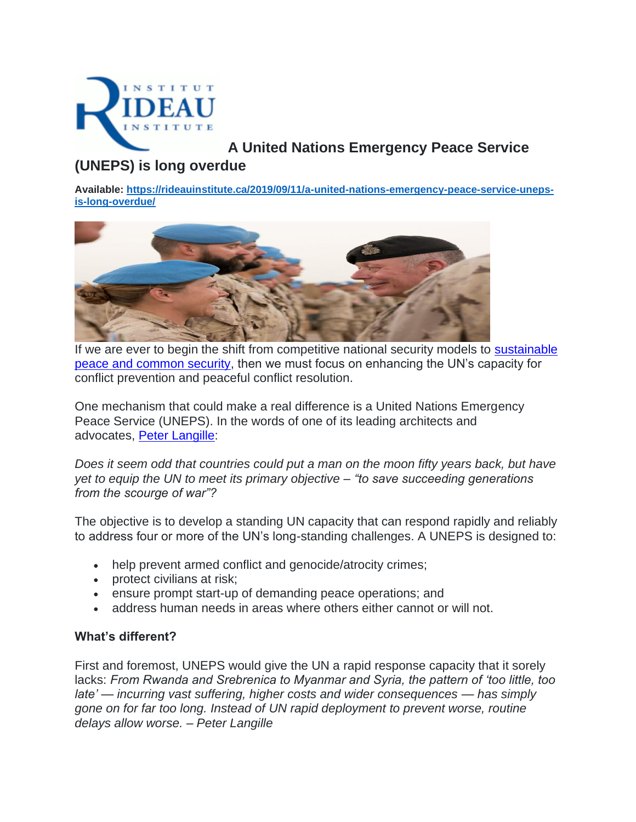

# **A United Nations Emergency Peace Service**

## **(UNEPS) is long overdue**

**Available: [https://rideauinstitute.ca/2019/09/11/a-united-nations-emergency-peace-service-uneps](https://rideauinstitute.ca/2019/09/11/a-united-nations-emergency-peace-service-uneps-is-long-overdue/)[is-long-overdue/](https://rideauinstitute.ca/2019/09/11/a-united-nations-emergency-peace-service-uneps-is-long-overdue/)**



If we are ever to begin the shift from competitive national security models to [sustainable](https://www.ceasefire.ca/wp-content/uploads/2019/09/2018UPDATE_A-Shift-to-Sustainable-Peace.pdf)  [peace and common security,](https://www.ceasefire.ca/wp-content/uploads/2019/09/2018UPDATE_A-Shift-to-Sustainable-Peace.pdf) then we must focus on enhancing the UN's capacity for conflict prevention and peaceful conflict resolution.

One mechanism that could make a real difference is a United Nations Emergency Peace Service (UNEPS). In the words of one of its leading architects and advocates, [Peter Langille:](https://globalcommonsecurity.org/bio/)

*Does it seem odd that countries could put a man on the moon fifty years back, but have yet to equip the UN to meet its primary objective – "to save succeeding generations from the scourge of war"?*

The objective is to develop a standing UN capacity that can respond rapidly and reliably to address four or more of the UN's long-standing challenges. A UNEPS is designed to:

- help prevent armed conflict and genocide/atrocity crimes;
- protect civilians at risk;
- ensure prompt start-up of demanding peace operations; and
- address human needs in areas where others either cannot or will not.

### **What's different?**

First and foremost, UNEPS would give the UN a rapid response capacity that it sorely lacks: *From Rwanda and Srebrenica to Myanmar and Syria, the pattern of 'too little, too late' — incurring vast suffering, higher costs and wider consequences — has simply gone on for far too long. Instead of UN rapid deployment to prevent worse, routine delays allow worse. – Peter Langille*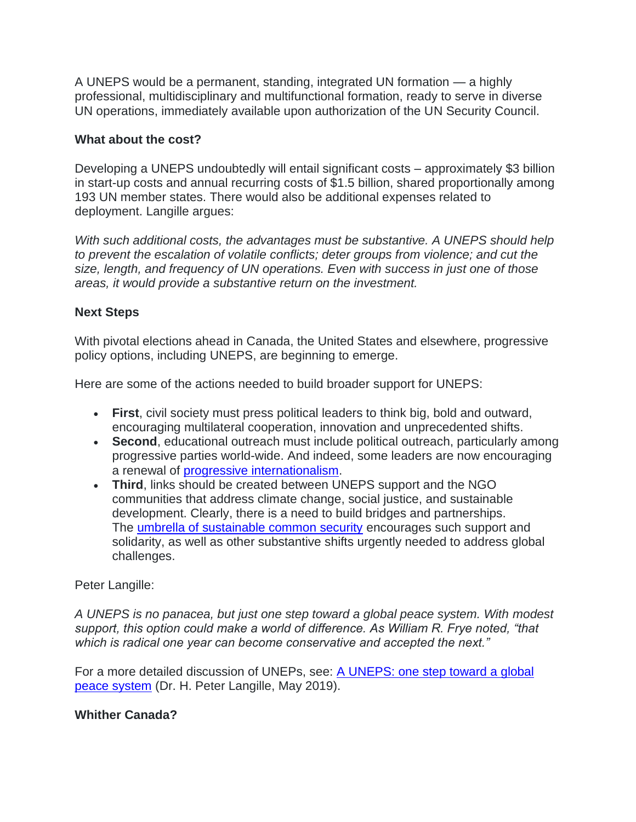A UNEPS would be a permanent, standing, integrated UN formation — a highly professional, multidisciplinary and multifunctional formation, ready to serve in diverse UN operations, immediately available upon authorization of the UN Security Council.

### **What about the cost?**

Developing a UNEPS undoubtedly will entail significant costs – approximately \$3 billion in start-up costs and annual recurring costs of \$1.5 billion, shared proportionally among 193 UN member states. There would also be additional expenses related to deployment. Langille argues:

*With such additional costs, the advantages must be substantive. A UNEPS should help to prevent the escalation of volatile conflicts; deter groups from violence; and cut the size, length, and frequency of UN operations. Even with success in just one of those areas, it would provide a substantive return on the investment.*

### **Next Steps**

With pivotal elections ahead in Canada, the United States and elsewhere, progressive policy options, including UNEPS, are beginning to emerge.

Here are some of the actions needed to build broader support for UNEPS:

- **First**, civil society must press political leaders to think big, bold and outward, encouraging multilateral cooperation, innovation and unprecedented shifts.
- **Second**, educational outreach must include political outreach, particularly among progressive parties world-wide. And indeed, some leaders are now encouraging a renewal of [progressive internationalism.](https://www.theatlantic.com/ideas/archive/2019/02/foreign-policy-distinguishes-bernie-sanders-2020/583279/)
- **Third**, links should be created between UNEPS support and the NGO communities that address climate change, social justice, and sustainable development. Clearly, there is a need to build bridges and partnerships. The [umbrella of sustainable common security](https://www.wfmcanada.org/2016/12/sustainable-common-security/) encourages such support and solidarity, as well as other substantive shifts urgently needed to address global challenges.

### Peter Langille:

*A UNEPS is no panacea, but just one step toward a global peace system. With modest support, this option could make a world of difference. As William R. Frye noted, "that which is radical one year can become conservative and accepted the next."*

For a more detailed discussion of UNEPs, see: A UNEPS: one step toward a global [peace system](https://www.ceasefire.ca/wp-content/uploads/2019/09/A-UNEPS-one-step-toward-a-global-peace-system.pdf) (Dr. H. Peter Langille, May 2019).

### **Whither Canada?**